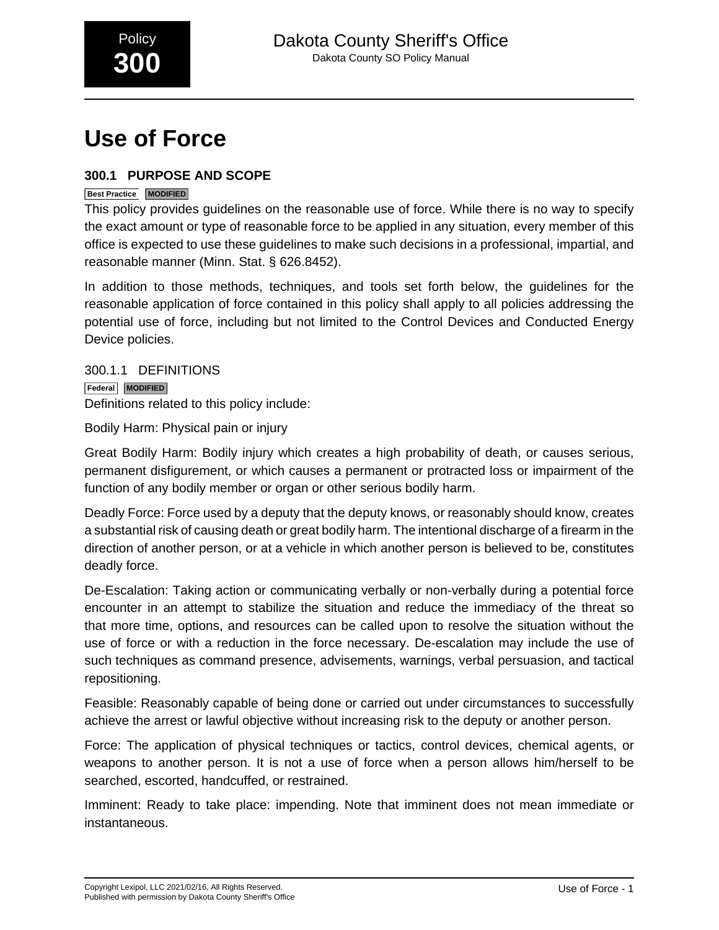

# **Use of Force**

# **300.1 PURPOSE AND SCOPE**

## **Best Practice MODIFIED**

This policy provides guidelines on the reasonable use of force. While there is no way to specify the exact amount or type of reasonable force to be applied in any situation, every member of this office is expected to use these guidelines to make such decisions in a professional, impartial, and reasonable manner (Minn. Stat. § 626.8452).

In addition to those methods, techniques, and tools set forth below, the guidelines for the reasonable application of force contained in this policy shall apply to all policies addressing the potential use of force, including but not limited to the Control Devices and Conducted Energy Device policies.

300.1.1 DEFINITIONS **Federal MODIFIED** Definitions related to this policy include:

Bodily Harm: Physical pain or injury

Great Bodily Harm: Bodily injury which creates a high probability of death, or causes serious, permanent disfigurement, or which causes a permanent or protracted loss or impairment of the function of any bodily member or organ or other serious bodily harm.

Deadly Force: Force used by a deputy that the deputy knows, or reasonably should know, creates a substantial risk of causing death or great bodily harm. The intentional discharge of a firearm in the direction of another person, or at a vehicle in which another person is believed to be, constitutes deadly force.

De-Escalation: Taking action or communicating verbally or non-verbally during a potential force encounter in an attempt to stabilize the situation and reduce the immediacy of the threat so that more time, options, and resources can be called upon to resolve the situation without the use of force or with a reduction in the force necessary. De-escalation may include the use of such techniques as command presence, advisements, warnings, verbal persuasion, and tactical repositioning.

Feasible: Reasonably capable of being done or carried out under circumstances to successfully achieve the arrest or lawful objective without increasing risk to the deputy or another person.

Force: The application of physical techniques or tactics, control devices, chemical agents, or weapons to another person. It is not a use of force when a person allows him/herself to be searched, escorted, handcuffed, or restrained.

Imminent: Ready to take place: impending. Note that imminent does not mean immediate or instantaneous.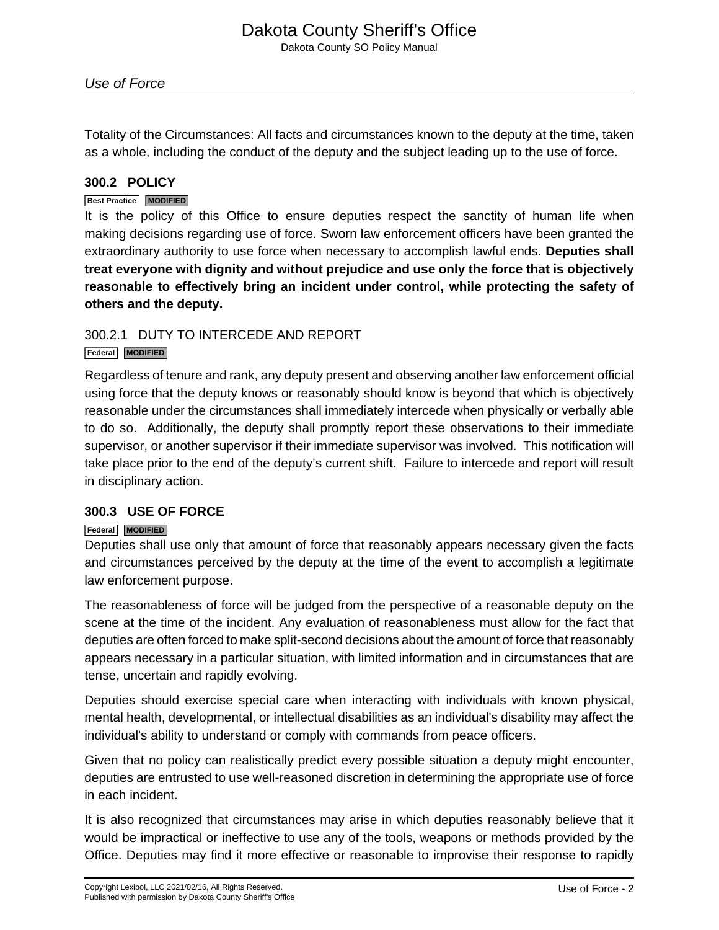Totality of the Circumstances: All facts and circumstances known to the deputy at the time, taken as a whole, including the conduct of the deputy and the subject leading up to the use of force.

# **300.2 POLICY**

## **Best Practice MODIFIED**

It is the policy of this Office to ensure deputies respect the sanctity of human life when making decisions regarding use of force. Sworn law enforcement officers have been granted the extraordinary authority to use force when necessary to accomplish lawful ends. **Deputies shall treat everyone with dignity and without prejudice and use only the force that is objectively reasonable to effectively bring an incident under control, while protecting the safety of others and the deputy.**

# 300.2.1 DUTY TO INTERCEDE AND REPORT

## **Federal MODIFIED**

Regardless of tenure and rank, any deputy present and observing another law enforcement official using force that the deputy knows or reasonably should know is beyond that which is objectively reasonable under the circumstances shall immediately intercede when physically or verbally able to do so. Additionally, the deputy shall promptly report these observations to their immediate supervisor, or another supervisor if their immediate supervisor was involved. This notification will take place prior to the end of the deputy's current shift. Failure to intercede and report will result in disciplinary action.

# **300.3 USE OF FORCE**

## **Federal MODIFIED**

Deputies shall use only that amount of force that reasonably appears necessary given the facts and circumstances perceived by the deputy at the time of the event to accomplish a legitimate law enforcement purpose.

The reasonableness of force will be judged from the perspective of a reasonable deputy on the scene at the time of the incident. Any evaluation of reasonableness must allow for the fact that deputies are often forced to make split-second decisions about the amount of force that reasonably appears necessary in a particular situation, with limited information and in circumstances that are tense, uncertain and rapidly evolving.

Deputies should exercise special care when interacting with individuals with known physical, mental health, developmental, or intellectual disabilities as an individual's disability may affect the individual's ability to understand or comply with commands from peace officers.

Given that no policy can realistically predict every possible situation a deputy might encounter, deputies are entrusted to use well-reasoned discretion in determining the appropriate use of force in each incident.

It is also recognized that circumstances may arise in which deputies reasonably believe that it would be impractical or ineffective to use any of the tools, weapons or methods provided by the Office. Deputies may find it more effective or reasonable to improvise their response to rapidly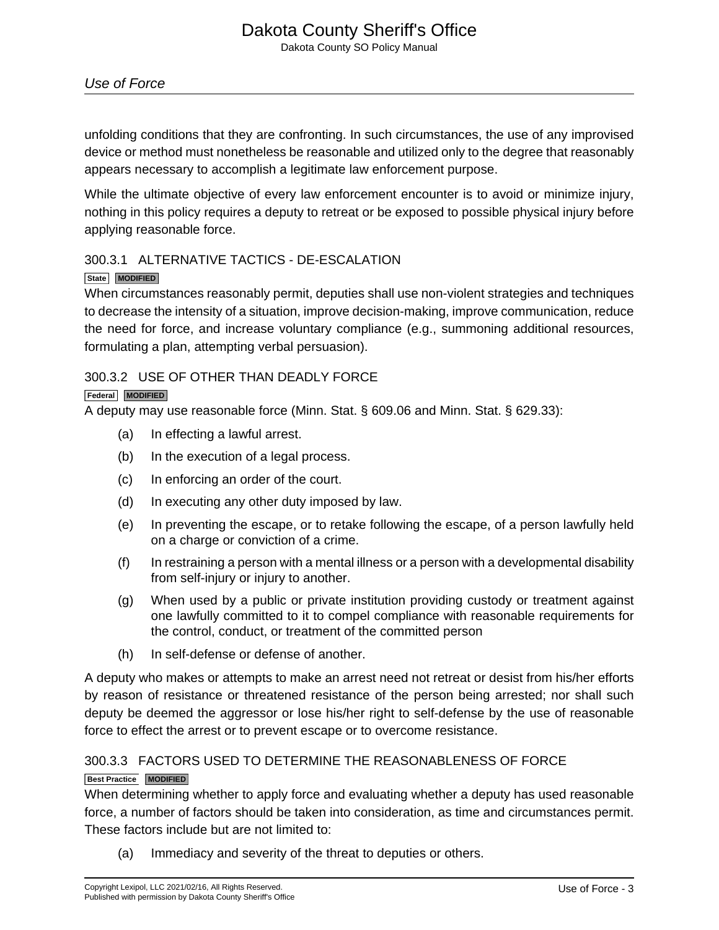unfolding conditions that they are confronting. In such circumstances, the use of any improvised device or method must nonetheless be reasonable and utilized only to the degree that reasonably appears necessary to accomplish a legitimate law enforcement purpose.

While the ultimate objective of every law enforcement encounter is to avoid or minimize injury, nothing in this policy requires a deputy to retreat or be exposed to possible physical injury before applying reasonable force.

# 300.3.1 ALTERNATIVE TACTICS - DE-ESCALATION

## **State MODIFIED**

When circumstances reasonably permit, deputies shall use non-violent strategies and techniques to decrease the intensity of a situation, improve decision-making, improve communication, reduce the need for force, and increase voluntary compliance (e.g., summoning additional resources, formulating a plan, attempting verbal persuasion).

# 300.3.2 USE OF OTHER THAN DEADLY FORCE

## **Federal MODIFIED**

A deputy may use reasonable force (Minn. Stat. § 609.06 and Minn. Stat. § 629.33):

- (a) In effecting a lawful arrest.
- (b) In the execution of a legal process.
- (c) In enforcing an order of the court.
- (d) In executing any other duty imposed by law.
- (e) In preventing the escape, or to retake following the escape, of a person lawfully held on a charge or conviction of a crime.
- (f) In restraining a person with a mental illness or a person with a developmental disability from self-injury or injury to another.
- (g) When used by a public or private institution providing custody or treatment against one lawfully committed to it to compel compliance with reasonable requirements for the control, conduct, or treatment of the committed person
- (h) In self-defense or defense of another.

A deputy who makes or attempts to make an arrest need not retreat or desist from his/her efforts by reason of resistance or threatened resistance of the person being arrested; nor shall such deputy be deemed the aggressor or lose his/her right to self-defense by the use of reasonable force to effect the arrest or to prevent escape or to overcome resistance.

# 300.3.3 FACTORS USED TO DETERMINE THE REASONABLENESS OF FORCE

# **Best Practice MODIFIED**

When determining whether to apply force and evaluating whether a deputy has used reasonable force, a number of factors should be taken into consideration, as time and circumstances permit. These factors include but are not limited to:

(a) Immediacy and severity of the threat to deputies or others.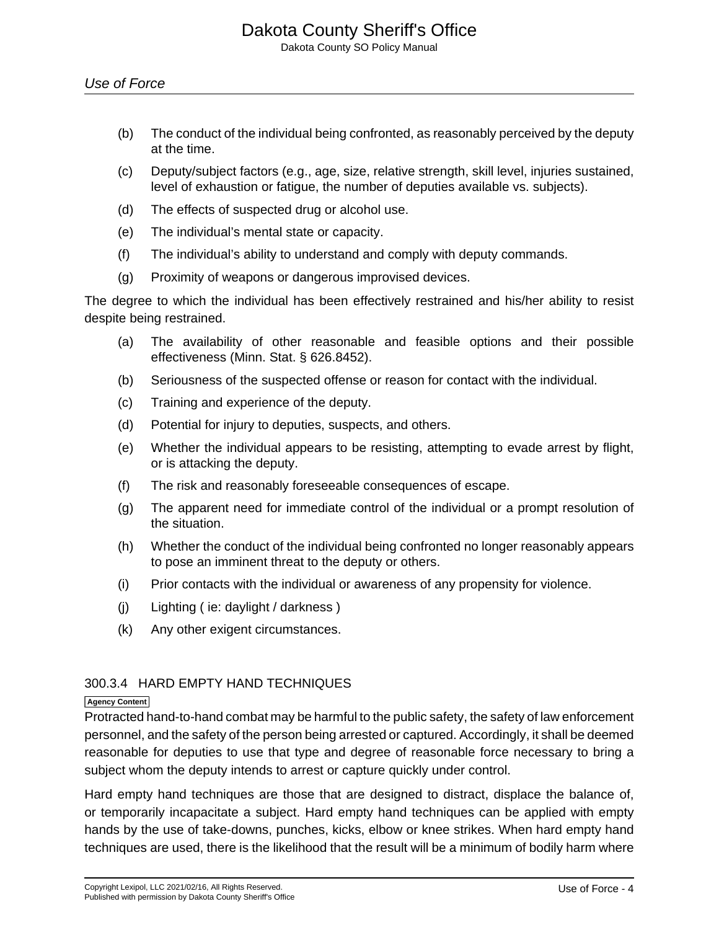- (b) The conduct of the individual being confronted, as reasonably perceived by the deputy at the time.
- (c) Deputy/subject factors (e.g., age, size, relative strength, skill level, injuries sustained, level of exhaustion or fatigue, the number of deputies available vs. subjects).
- (d) The effects of suspected drug or alcohol use.
- (e) The individual's mental state or capacity.
- (f) The individual's ability to understand and comply with deputy commands.
- (g) Proximity of weapons or dangerous improvised devices.

The degree to which the individual has been effectively restrained and his/her ability to resist despite being restrained.

- (a) The availability of other reasonable and feasible options and their possible effectiveness (Minn. Stat. § 626.8452).
- (b) Seriousness of the suspected offense or reason for contact with the individual.
- (c) Training and experience of the deputy.
- (d) Potential for injury to deputies, suspects, and others.
- (e) Whether the individual appears to be resisting, attempting to evade arrest by flight, or is attacking the deputy.
- (f) The risk and reasonably foreseeable consequences of escape.
- (g) The apparent need for immediate control of the individual or a prompt resolution of the situation.
- (h) Whether the conduct of the individual being confronted no longer reasonably appears to pose an imminent threat to the deputy or others.
- (i) Prior contacts with the individual or awareness of any propensity for violence.
- (j) Lighting ( ie: daylight / darkness )
- (k) Any other exigent circumstances.

# 300.3.4 HARD EMPTY HAND TECHNIQUES

#### **Agency Content**

Protracted hand-to-hand combat may be harmful to the public safety, the safety of law enforcement personnel, and the safety of the person being arrested or captured. Accordingly, it shall be deemed reasonable for deputies to use that type and degree of reasonable force necessary to bring a subject whom the deputy intends to arrest or capture quickly under control.

Hard empty hand techniques are those that are designed to distract, displace the balance of, or temporarily incapacitate a subject. Hard empty hand techniques can be applied with empty hands by the use of take-downs, punches, kicks, elbow or knee strikes. When hard empty hand techniques are used, there is the likelihood that the result will be a minimum of bodily harm where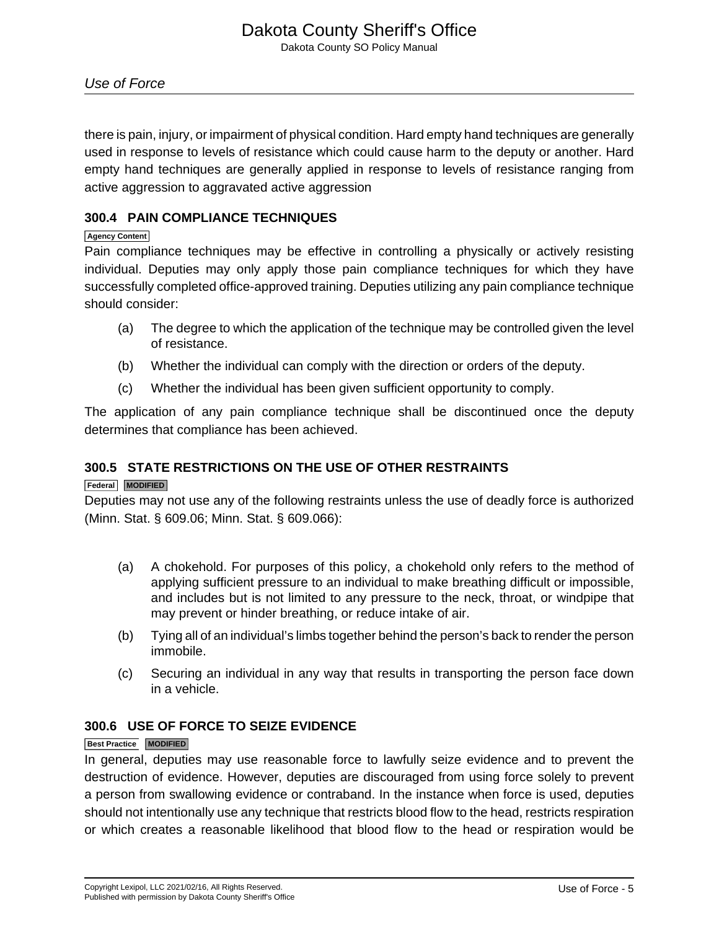there is pain, injury, or impairment of physical condition. Hard empty hand techniques are generally used in response to levels of resistance which could cause harm to the deputy or another. Hard empty hand techniques are generally applied in response to levels of resistance ranging from active aggression to aggravated active aggression

# **300.4 PAIN COMPLIANCE TECHNIQUES**

## **Agency Content**

Pain compliance techniques may be effective in controlling a physically or actively resisting individual. Deputies may only apply those pain compliance techniques for which they have successfully completed office-approved training. Deputies utilizing any pain compliance technique should consider:

- (a) The degree to which the application of the technique may be controlled given the level of resistance.
- (b) Whether the individual can comply with the direction or orders of the deputy.
- (c) Whether the individual has been given sufficient opportunity to comply.

The application of any pain compliance technique shall be discontinued once the deputy determines that compliance has been achieved.

# **300.5 STATE RESTRICTIONS ON THE USE OF OTHER RESTRAINTS**

# **Federal MODIFIED**

Deputies may not use any of the following restraints unless the use of deadly force is authorized (Minn. Stat. § 609.06; Minn. Stat. § 609.066):

- (a) A chokehold. For purposes of this policy, a chokehold only refers to the method of applying sufficient pressure to an individual to make breathing difficult or impossible, and includes but is not limited to any pressure to the neck, throat, or windpipe that may prevent or hinder breathing, or reduce intake of air.
- (b) Tying all of an individual's limbs together behind the person's back to render the person immobile.
- (c) Securing an individual in any way that results in transporting the person face down in a vehicle.

# **300.6 USE OF FORCE TO SEIZE EVIDENCE**

## **Best Practice MODIFIED**

In general, deputies may use reasonable force to lawfully seize evidence and to prevent the destruction of evidence. However, deputies are discouraged from using force solely to prevent a person from swallowing evidence or contraband. In the instance when force is used, deputies should not intentionally use any technique that restricts blood flow to the head, restricts respiration or which creates a reasonable likelihood that blood flow to the head or respiration would be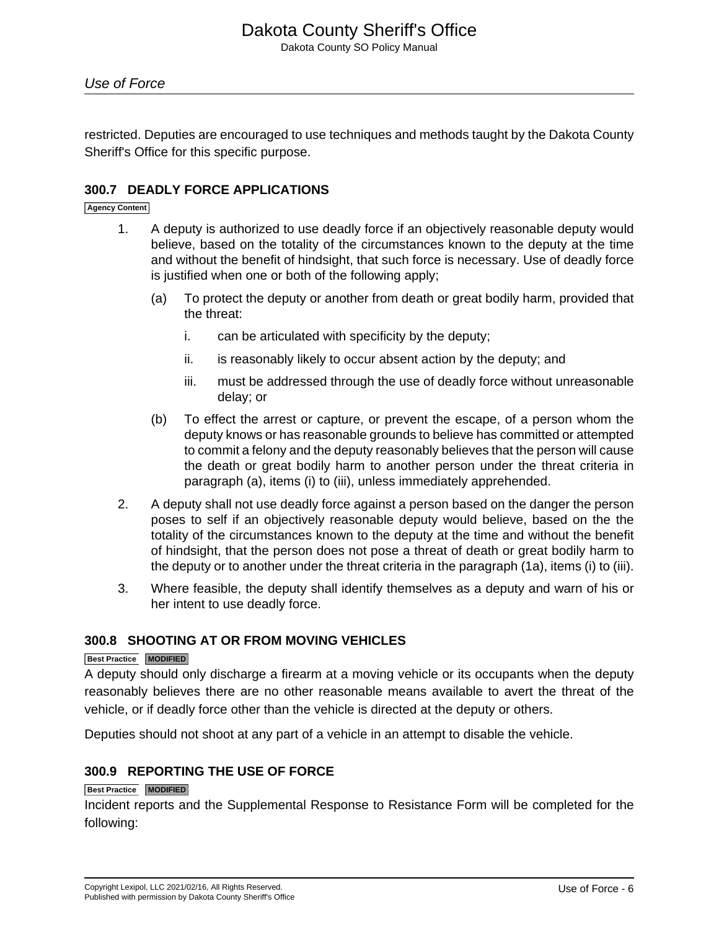restricted. Deputies are encouraged to use techniques and methods taught by the Dakota County Sheriff's Office for this specific purpose.

# **300.7 DEADLY FORCE APPLICATIONS**

**Agency Content**

- 1. A deputy is authorized to use deadly force if an objectively reasonable deputy would believe, based on the totality of the circumstances known to the deputy at the time and without the benefit of hindsight, that such force is necessary. Use of deadly force is justified when one or both of the following apply;
	- (a) To protect the deputy or another from death or great bodily harm, provided that the threat:
		- i. can be articulated with specificity by the deputy;
		- ii. is reasonably likely to occur absent action by the deputy; and
		- iii. must be addressed through the use of deadly force without unreasonable delay; or
	- (b) To effect the arrest or capture, or prevent the escape, of a person whom the deputy knows or has reasonable grounds to believe has committed or attempted to commit a felony and the deputy reasonably believes that the person will cause the death or great bodily harm to another person under the threat criteria in paragraph (a), items (i) to (iii), unless immediately apprehended.
- 2. A deputy shall not use deadly force against a person based on the danger the person poses to self if an objectively reasonable deputy would believe, based on the the totality of the circumstances known to the deputy at the time and without the benefit of hindsight, that the person does not pose a threat of death or great bodily harm to the deputy or to another under the threat criteria in the paragraph (1a), items (i) to (iii).
- 3. Where feasible, the deputy shall identify themselves as a deputy and warn of his or her intent to use deadly force.

# **300.8 SHOOTING AT OR FROM MOVING VEHICLES**

#### **Best Practice MODIFIED**

A deputy should only discharge a firearm at a moving vehicle or its occupants when the deputy reasonably believes there are no other reasonable means available to avert the threat of the vehicle, or if deadly force other than the vehicle is directed at the deputy or others.

Deputies should not shoot at any part of a vehicle in an attempt to disable the vehicle.

# **300.9 REPORTING THE USE OF FORCE**

#### **Best Practice MODIFIED**

Incident reports and the Supplemental Response to Resistance Form will be completed for the following: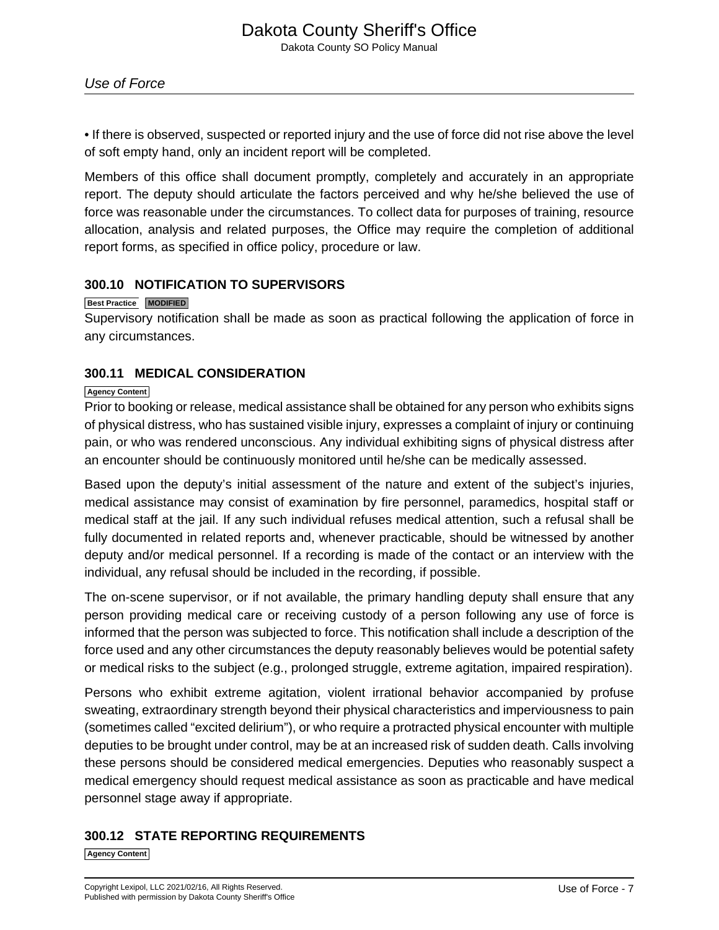• If there is observed, suspected or reported injury and the use of force did not rise above the level of soft empty hand, only an incident report will be completed.

Members of this office shall document promptly, completely and accurately in an appropriate report. The deputy should articulate the factors perceived and why he/she believed the use of force was reasonable under the circumstances. To collect data for purposes of training, resource allocation, analysis and related purposes, the Office may require the completion of additional report forms, as specified in office policy, procedure or law.

# **300.10 NOTIFICATION TO SUPERVISORS**

## **Best Practice MODIFIED**

Supervisory notification shall be made as soon as practical following the application of force in any circumstances.

# **300.11 MEDICAL CONSIDERATION**

#### **Agency Content**

Prior to booking or release, medical assistance shall be obtained for any person who exhibits signs of physical distress, who has sustained visible injury, expresses a complaint of injury or continuing pain, or who was rendered unconscious. Any individual exhibiting signs of physical distress after an encounter should be continuously monitored until he/she can be medically assessed.

Based upon the deputy's initial assessment of the nature and extent of the subject's injuries, medical assistance may consist of examination by fire personnel, paramedics, hospital staff or medical staff at the jail. If any such individual refuses medical attention, such a refusal shall be fully documented in related reports and, whenever practicable, should be witnessed by another deputy and/or medical personnel. If a recording is made of the contact or an interview with the individual, any refusal should be included in the recording, if possible.

The on-scene supervisor, or if not available, the primary handling deputy shall ensure that any person providing medical care or receiving custody of a person following any use of force is informed that the person was subjected to force. This notification shall include a description of the force used and any other circumstances the deputy reasonably believes would be potential safety or medical risks to the subject (e.g., prolonged struggle, extreme agitation, impaired respiration).

Persons who exhibit extreme agitation, violent irrational behavior accompanied by profuse sweating, extraordinary strength beyond their physical characteristics and imperviousness to pain (sometimes called "excited delirium"), or who require a protracted physical encounter with multiple deputies to be brought under control, may be at an increased risk of sudden death. Calls involving these persons should be considered medical emergencies. Deputies who reasonably suspect a medical emergency should request medical assistance as soon as practicable and have medical personnel stage away if appropriate.

# **300.12 STATE REPORTING REQUIREMENTS**

**Agency Content**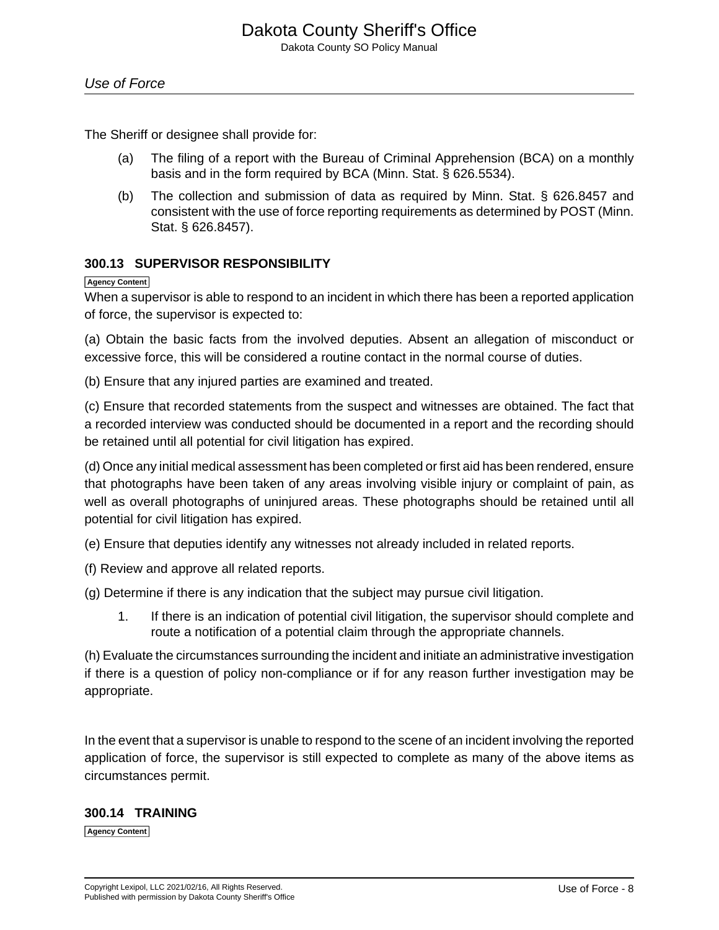The Sheriff or designee shall provide for:

- (a) The filing of a report with the Bureau of Criminal Apprehension (BCA) on a monthly basis and in the form required by BCA (Minn. Stat. § 626.5534).
- (b) The collection and submission of data as required by Minn. Stat. § 626.8457 and consistent with the use of force reporting requirements as determined by POST (Minn. Stat. § 626.8457).

## **300.13 SUPERVISOR RESPONSIBILITY**

#### **Agency Content**

When a supervisor is able to respond to an incident in which there has been a reported application of force, the supervisor is expected to:

(a) Obtain the basic facts from the involved deputies. Absent an allegation of misconduct or excessive force, this will be considered a routine contact in the normal course of duties.

(b) Ensure that any injured parties are examined and treated.

(c) Ensure that recorded statements from the suspect and witnesses are obtained. The fact that a recorded interview was conducted should be documented in a report and the recording should be retained until all potential for civil litigation has expired.

(d) Once any initial medical assessment has been completed or first aid has been rendered, ensure that photographs have been taken of any areas involving visible injury or complaint of pain, as well as overall photographs of uninjured areas. These photographs should be retained until all potential for civil litigation has expired.

(e) Ensure that deputies identify any witnesses not already included in related reports.

(f) Review and approve all related reports.

(g) Determine if there is any indication that the subject may pursue civil litigation.

1. If there is an indication of potential civil litigation, the supervisor should complete and route a notification of a potential claim through the appropriate channels.

(h) Evaluate the circumstances surrounding the incident and initiate an administrative investigation if there is a question of policy non-compliance or if for any reason further investigation may be appropriate.

In the event that a supervisor is unable to respond to the scene of an incident involving the reported application of force, the supervisor is still expected to complete as many of the above items as circumstances permit.

## **300.14 TRAINING**

**Agency Content**